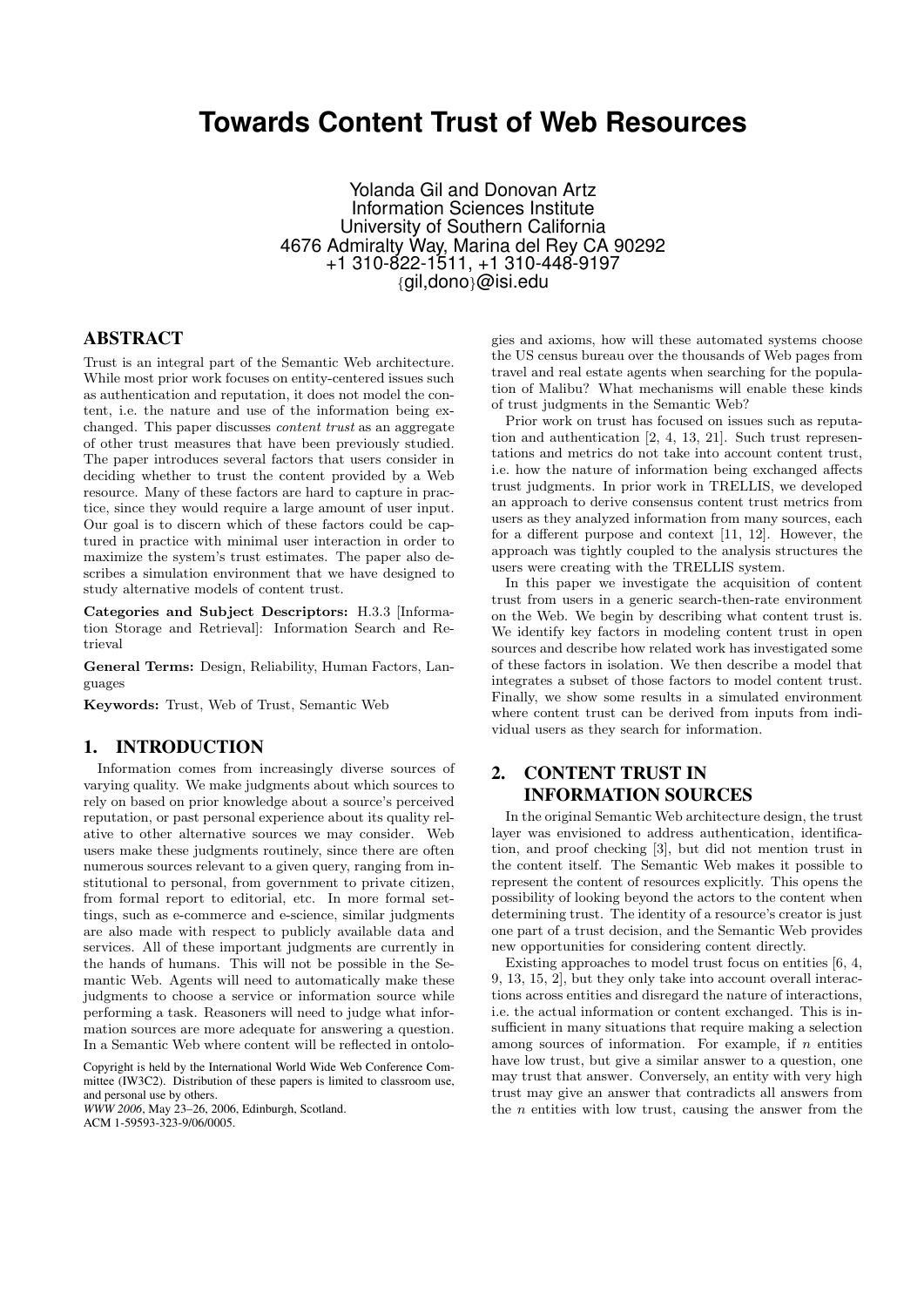# **Towards Content Trust of Web Resources**

Yolanda Gil and Donovan Artz Information Sciences Institute University of Southern California 4676 Admiralty Way, Marina del Rey CA 90292 +1 310-822-1511, +1 310-448-9197 {gil,dono}@isi.edu

# ABSTRACT

Trust is an integral part of the Semantic Web architecture. While most prior work focuses on entity-centered issues such as authentication and reputation, it does not model the content, i.e. the nature and use of the information being exchanged. This paper discusses content trust as an aggregate of other trust measures that have been previously studied. The paper introduces several factors that users consider in deciding whether to trust the content provided by a Web resource. Many of these factors are hard to capture in practice, since they would require a large amount of user input. Our goal is to discern which of these factors could be captured in practice with minimal user interaction in order to maximize the system's trust estimates. The paper also describes a simulation environment that we have designed to study alternative models of content trust.

Categories and Subject Descriptors: H.3.3 [Information Storage and Retrieval]: Information Search and Retrieval

General Terms: Design, Reliability, Human Factors, Languages

Keywords: Trust, Web of Trust, Semantic Web

### 1. INTRODUCTION

Information comes from increasingly diverse sources of varying quality. We make judgments about which sources to rely on based on prior knowledge about a source's perceived reputation, or past personal experience about its quality relative to other alternative sources we may consider. Web users make these judgments routinely, since there are often numerous sources relevant to a given query, ranging from institutional to personal, from government to private citizen, from formal report to editorial, etc. In more formal settings, such as e-commerce and e-science, similar judgments are also made with respect to publicly available data and services. All of these important judgments are currently in the hands of humans. This will not be possible in the Semantic Web. Agents will need to automatically make these judgments to choose a service or information source while performing a task. Reasoners will need to judge what information sources are more adequate for answering a question. In a Semantic Web where content will be reflected in ontolo-

Copyright is held by the International World Wide Web Conference Committee (IW3C2). Distribution of these papers is limited to classroom use, and personal use by others.

*WWW 2006*, May 23–26, 2006, Edinburgh, Scotland. ACM 1-59593-323-9/06/0005.

gies and axioms, how will these automated systems choose the US census bureau over the thousands of Web pages from travel and real estate agents when searching for the population of Malibu? What mechanisms will enable these kinds of trust judgments in the Semantic Web?

Prior work on trust has focused on issues such as reputation and authentication [2, 4, 13, 21]. Such trust representations and metrics do not take into account content trust, i.e. how the nature of information being exchanged affects trust judgments. In prior work in TRELLIS, we developed an approach to derive consensus content trust metrics from users as they analyzed information from many sources, each for a different purpose and context [11, 12]. However, the approach was tightly coupled to the analysis structures the users were creating with the TRELLIS system.

In this paper we investigate the acquisition of content trust from users in a generic search-then-rate environment on the Web. We begin by describing what content trust is. We identify key factors in modeling content trust in open sources and describe how related work has investigated some of these factors in isolation. We then describe a model that integrates a subset of those factors to model content trust. Finally, we show some results in a simulated environment where content trust can be derived from inputs from individual users as they search for information.

# 2. CONTENT TRUST IN INFORMATION SOURCES

In the original Semantic Web architecture design, the trust layer was envisioned to address authentication, identification, and proof checking [3], but did not mention trust in the content itself. The Semantic Web makes it possible to represent the content of resources explicitly. This opens the possibility of looking beyond the actors to the content when determining trust. The identity of a resource's creator is just one part of a trust decision, and the Semantic Web provides new opportunities for considering content directly.

Existing approaches to model trust focus on entities [6, 4, 9, 13, 15, 2], but they only take into account overall interactions across entities and disregard the nature of interactions, i.e. the actual information or content exchanged. This is insufficient in many situations that require making a selection among sources of information. For example, if  $n$  entities have low trust, but give a similar answer to a question, one may trust that answer. Conversely, an entity with very high trust may give an answer that contradicts all answers from the  $n$  entities with low trust, causing the answer from the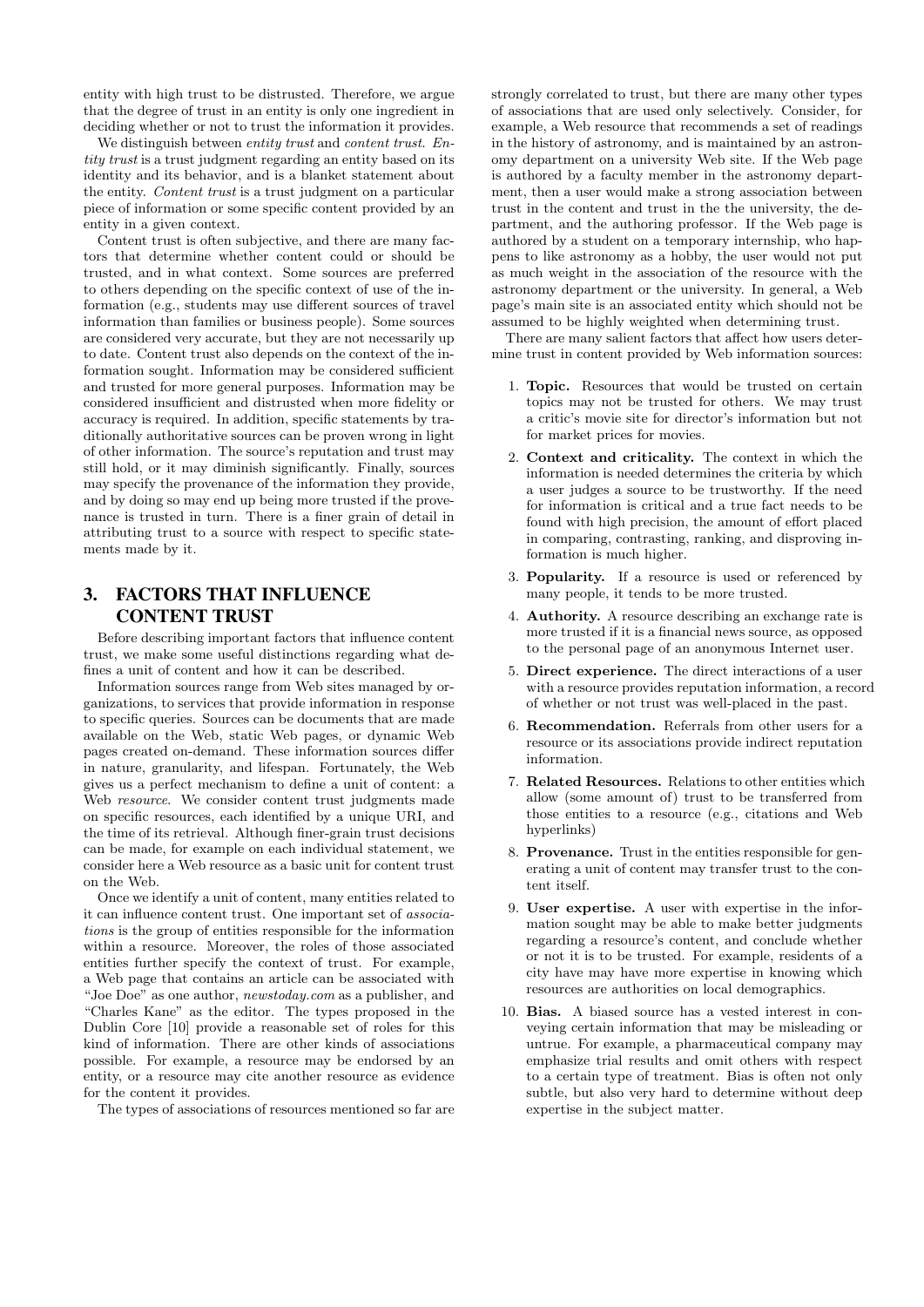entity with high trust to be distrusted. Therefore, we argue that the degree of trust in an entity is only one ingredient in deciding whether or not to trust the information it provides.

We distinguish between entity trust and content trust. Entity trust is a trust judgment regarding an entity based on its identity and its behavior, and is a blanket statement about the entity. Content trust is a trust judgment on a particular piece of information or some specific content provided by an entity in a given context.

Content trust is often subjective, and there are many factors that determine whether content could or should be trusted, and in what context. Some sources are preferred to others depending on the specific context of use of the information (e.g., students may use different sources of travel information than families or business people). Some sources are considered very accurate, but they are not necessarily up to date. Content trust also depends on the context of the information sought. Information may be considered sufficient and trusted for more general purposes. Information may be considered insufficient and distrusted when more fidelity or accuracy is required. In addition, specific statements by traditionally authoritative sources can be proven wrong in light of other information. The source's reputation and trust may still hold, or it may diminish significantly. Finally, sources may specify the provenance of the information they provide, and by doing so may end up being more trusted if the provenance is trusted in turn. There is a finer grain of detail in attributing trust to a source with respect to specific statements made by it.

# 3. FACTORS THAT INFLUENCE CONTENT TRUST

Before describing important factors that influence content trust, we make some useful distinctions regarding what defines a unit of content and how it can be described.

Information sources range from Web sites managed by organizations, to services that provide information in response to specific queries. Sources can be documents that are made available on the Web, static Web pages, or dynamic Web pages created on-demand. These information sources differ in nature, granularity, and lifespan. Fortunately, the Web gives us a perfect mechanism to define a unit of content: a Web *resource*. We consider content trust judgments made on specific resources, each identified by a unique URI, and the time of its retrieval. Although finer-grain trust decisions can be made, for example on each individual statement, we consider here a Web resource as a basic unit for content trust on the Web.

Once we identify a unit of content, many entities related to it can influence content trust. One important set of associations is the group of entities responsible for the information within a resource. Moreover, the roles of those associated entities further specify the context of trust. For example, a Web page that contains an article can be associated with "Joe Doe" as one author, newstoday.com as a publisher, and "Charles Kane" as the editor. The types proposed in the Dublin Core [10] provide a reasonable set of roles for this kind of information. There are other kinds of associations possible. For example, a resource may be endorsed by an entity, or a resource may cite another resource as evidence for the content it provides.

The types of associations of resources mentioned so far are

strongly correlated to trust, but there are many other types of associations that are used only selectively. Consider, for example, a Web resource that recommends a set of readings in the history of astronomy, and is maintained by an astronomy department on a university Web site. If the Web page is authored by a faculty member in the astronomy department, then a user would make a strong association between trust in the content and trust in the the university, the department, and the authoring professor. If the Web page is authored by a student on a temporary internship, who happens to like astronomy as a hobby, the user would not put as much weight in the association of the resource with the astronomy department or the university. In general, a Web page's main site is an associated entity which should not be assumed to be highly weighted when determining trust.

There are many salient factors that affect how users determine trust in content provided by Web information sources:

- 1. Topic. Resources that would be trusted on certain topics may not be trusted for others. We may trust a critic's movie site for director's information but not for market prices for movies.
- 2. Context and criticality. The context in which the information is needed determines the criteria by which a user judges a source to be trustworthy. If the need for information is critical and a true fact needs to be found with high precision, the amount of effort placed in comparing, contrasting, ranking, and disproving information is much higher.
- 3. Popularity. If a resource is used or referenced by many people, it tends to be more trusted.
- 4. Authority. A resource describing an exchange rate is more trusted if it is a financial news source, as opposed to the personal page of an anonymous Internet user.
- 5. Direct experience. The direct interactions of a user with a resource provides reputation information, a record of whether or not trust was well-placed in the past.
- 6. Recommendation. Referrals from other users for a resource or its associations provide indirect reputation information.
- 7. Related Resources. Relations to other entities which allow (some amount of) trust to be transferred from those entities to a resource (e.g., citations and Web hyperlinks)
- 8. Provenance. Trust in the entities responsible for generating a unit of content may transfer trust to the content itself.
- 9. User expertise. A user with expertise in the information sought may be able to make better judgments regarding a resource's content, and conclude whether or not it is to be trusted. For example, residents of a city have may have more expertise in knowing which resources are authorities on local demographics.
- 10. Bias. A biased source has a vested interest in conveying certain information that may be misleading or untrue. For example, a pharmaceutical company may emphasize trial results and omit others with respect to a certain type of treatment. Bias is often not only subtle, but also very hard to determine without deep expertise in the subject matter.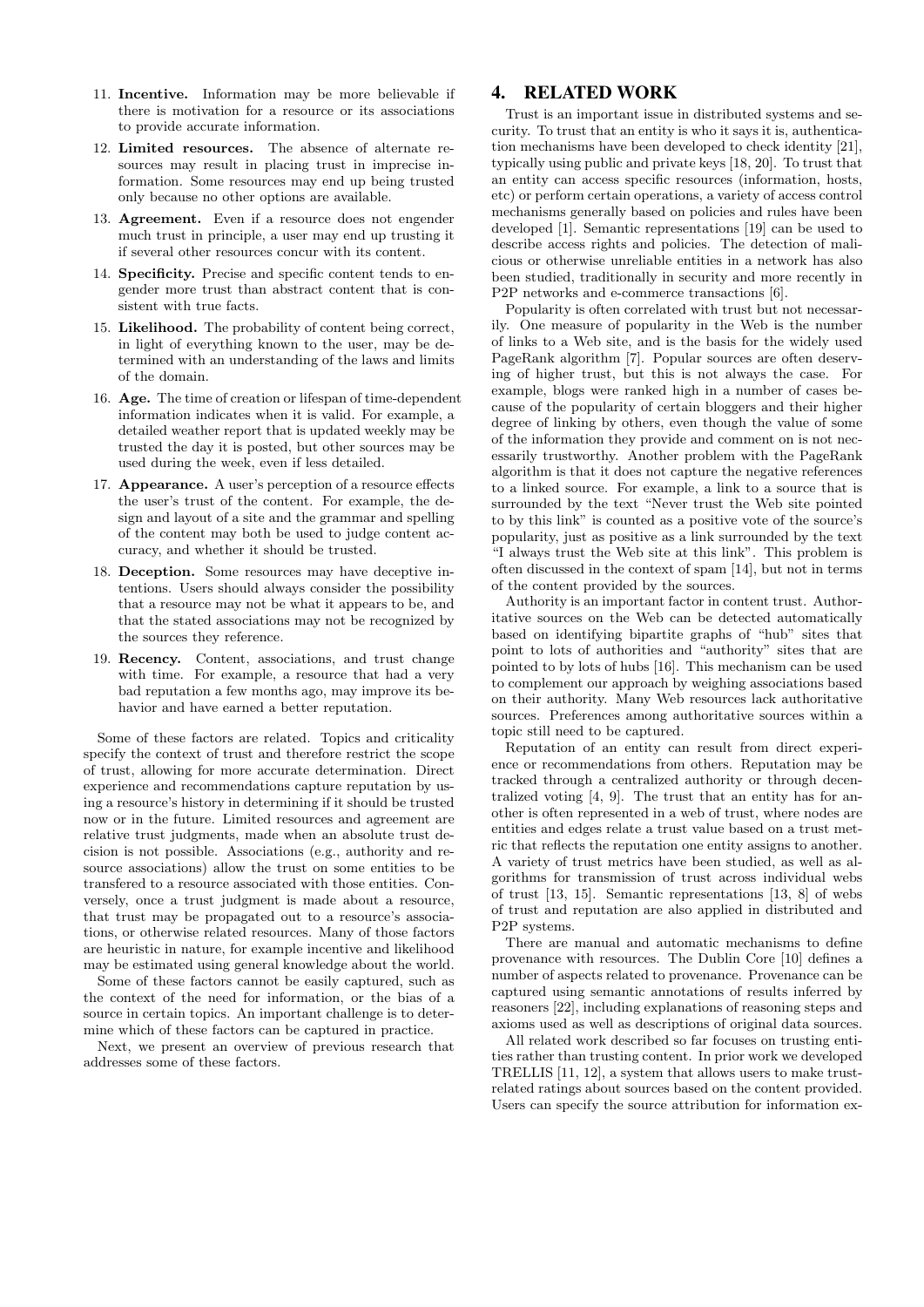- 11. Incentive. Information may be more believable if there is motivation for a resource or its associations to provide accurate information.
- 12. Limited resources. The absence of alternate resources may result in placing trust in imprecise information. Some resources may end up being trusted only because no other options are available.
- 13. Agreement. Even if a resource does not engender much trust in principle, a user may end up trusting it if several other resources concur with its content.
- 14. Specificity. Precise and specific content tends to engender more trust than abstract content that is consistent with true facts.
- 15. Likelihood. The probability of content being correct, in light of everything known to the user, may be determined with an understanding of the laws and limits of the domain.
- 16. Age. The time of creation or lifespan of time-dependent information indicates when it is valid. For example, a detailed weather report that is updated weekly may be trusted the day it is posted, but other sources may be used during the week, even if less detailed.
- 17. Appearance. A user's perception of a resource effects the user's trust of the content. For example, the design and layout of a site and the grammar and spelling of the content may both be used to judge content accuracy, and whether it should be trusted.
- 18. Deception. Some resources may have deceptive intentions. Users should always consider the possibility that a resource may not be what it appears to be, and that the stated associations may not be recognized by the sources they reference.
- 19. Recency. Content, associations, and trust change with time. For example, a resource that had a very bad reputation a few months ago, may improve its behavior and have earned a better reputation.

Some of these factors are related. Topics and criticality specify the context of trust and therefore restrict the scope of trust, allowing for more accurate determination. Direct experience and recommendations capture reputation by using a resource's history in determining if it should be trusted now or in the future. Limited resources and agreement are relative trust judgments, made when an absolute trust decision is not possible. Associations (e.g., authority and resource associations) allow the trust on some entities to be transfered to a resource associated with those entities. Conversely, once a trust judgment is made about a resource, that trust may be propagated out to a resource's associations, or otherwise related resources. Many of those factors are heuristic in nature, for example incentive and likelihood may be estimated using general knowledge about the world.

Some of these factors cannot be easily captured, such as the context of the need for information, or the bias of a source in certain topics. An important challenge is to determine which of these factors can be captured in practice.

Next, we present an overview of previous research that addresses some of these factors.

# 4. RELATED WORK

Trust is an important issue in distributed systems and security. To trust that an entity is who it says it is, authentication mechanisms have been developed to check identity [21], typically using public and private keys [18, 20]. To trust that an entity can access specific resources (information, hosts, etc) or perform certain operations, a variety of access control mechanisms generally based on policies and rules have been developed [1]. Semantic representations [19] can be used to describe access rights and policies. The detection of malicious or otherwise unreliable entities in a network has also been studied, traditionally in security and more recently in P2P networks and e-commerce transactions [6].

Popularity is often correlated with trust but not necessarily. One measure of popularity in the Web is the number of links to a Web site, and is the basis for the widely used PageRank algorithm [7]. Popular sources are often deserving of higher trust, but this is not always the case. For example, blogs were ranked high in a number of cases because of the popularity of certain bloggers and their higher degree of linking by others, even though the value of some of the information they provide and comment on is not necessarily trustworthy. Another problem with the PageRank algorithm is that it does not capture the negative references to a linked source. For example, a link to a source that is surrounded by the text "Never trust the Web site pointed to by this link" is counted as a positive vote of the source's popularity, just as positive as a link surrounded by the text "I always trust the Web site at this link". This problem is often discussed in the context of spam [14], but not in terms of the content provided by the sources.

Authority is an important factor in content trust. Authoritative sources on the Web can be detected automatically based on identifying bipartite graphs of "hub" sites that point to lots of authorities and "authority" sites that are pointed to by lots of hubs [16]. This mechanism can be used to complement our approach by weighing associations based on their authority. Many Web resources lack authoritative sources. Preferences among authoritative sources within a topic still need to be captured.

Reputation of an entity can result from direct experience or recommendations from others. Reputation may be tracked through a centralized authority or through decentralized voting [4, 9]. The trust that an entity has for another is often represented in a web of trust, where nodes are entities and edges relate a trust value based on a trust metric that reflects the reputation one entity assigns to another. A variety of trust metrics have been studied, as well as algorithms for transmission of trust across individual webs of trust [13, 15]. Semantic representations [13, 8] of webs of trust and reputation are also applied in distributed and P2P systems.

There are manual and automatic mechanisms to define provenance with resources. The Dublin Core [10] defines a number of aspects related to provenance. Provenance can be captured using semantic annotations of results inferred by reasoners [22], including explanations of reasoning steps and axioms used as well as descriptions of original data sources.

All related work described so far focuses on trusting entities rather than trusting content. In prior work we developed TRELLIS [11, 12], a system that allows users to make trustrelated ratings about sources based on the content provided. Users can specify the source attribution for information ex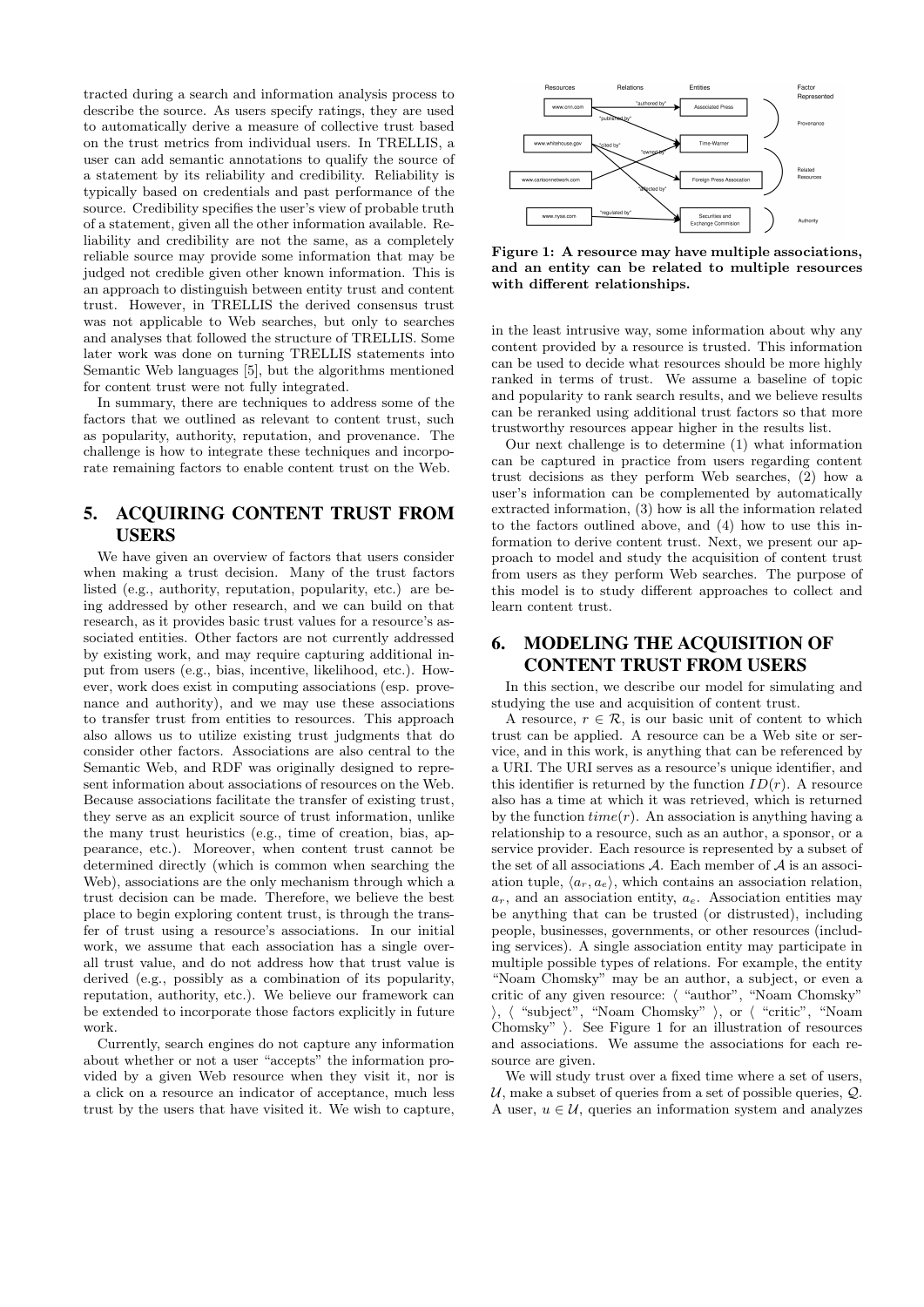tracted during a search and information analysis process to describe the source. As users specify ratings, they are used to automatically derive a measure of collective trust based on the trust metrics from individual users. In TRELLIS, a user can add semantic annotations to qualify the source of a statement by its reliability and credibility. Reliability is typically based on credentials and past performance of the source. Credibility specifies the user's view of probable truth of a statement, given all the other information available. Reliability and credibility are not the same, as a completely reliable source may provide some information that may be judged not credible given other known information. This is an approach to distinguish between entity trust and content trust. However, in TRELLIS the derived consensus trust was not applicable to Web searches, but only to searches and analyses that followed the structure of TRELLIS. Some later work was done on turning TRELLIS statements into Semantic Web languages [5], but the algorithms mentioned for content trust were not fully integrated.

In summary, there are techniques to address some of the factors that we outlined as relevant to content trust, such as popularity, authority, reputation, and provenance. The challenge is how to integrate these techniques and incorporate remaining factors to enable content trust on the Web.

# 5. ACQUIRING CONTENT TRUST FROM USERS

We have given an overview of factors that users consider when making a trust decision. Many of the trust factors listed (e.g., authority, reputation, popularity, etc.) are being addressed by other research, and we can build on that research, as it provides basic trust values for a resource's associated entities. Other factors are not currently addressed by existing work, and may require capturing additional input from users (e.g., bias, incentive, likelihood, etc.). However, work does exist in computing associations (esp. provenance and authority), and we may use these associations to transfer trust from entities to resources. This approach also allows us to utilize existing trust judgments that do consider other factors. Associations are also central to the Semantic Web, and RDF was originally designed to represent information about associations of resources on the Web. Because associations facilitate the transfer of existing trust, they serve as an explicit source of trust information, unlike the many trust heuristics (e.g., time of creation, bias, appearance, etc.). Moreover, when content trust cannot be determined directly (which is common when searching the Web), associations are the only mechanism through which a trust decision can be made. Therefore, we believe the best place to begin exploring content trust, is through the transfer of trust using a resource's associations. In our initial work, we assume that each association has a single overall trust value, and do not address how that trust value is derived (e.g., possibly as a combination of its popularity, reputation, authority, etc.). We believe our framework can be extended to incorporate those factors explicitly in future work.

Currently, search engines do not capture any information about whether or not a user "accepts" the information provided by a given Web resource when they visit it, nor is a click on a resource an indicator of acceptance, much less trust by the users that have visited it. We wish to capture,



Figure 1: A resource may have multiple associations, and an entity can be related to multiple resources with different relationships.

in the least intrusive way, some information about why any content provided by a resource is trusted. This information can be used to decide what resources should be more highly ranked in terms of trust. We assume a baseline of topic and popularity to rank search results, and we believe results can be reranked using additional trust factors so that more trustworthy resources appear higher in the results list.

Our next challenge is to determine (1) what information can be captured in practice from users regarding content trust decisions as they perform Web searches, (2) how a user's information can be complemented by automatically extracted information, (3) how is all the information related to the factors outlined above, and (4) how to use this information to derive content trust. Next, we present our approach to model and study the acquisition of content trust from users as they perform Web searches. The purpose of this model is to study different approaches to collect and learn content trust.

# 6. MODELING THE ACQUISITION OF CONTENT TRUST FROM USERS

In this section, we describe our model for simulating and studying the use and acquisition of content trust.

A resource,  $r \in \mathcal{R}$ , is our basic unit of content to which trust can be applied. A resource can be a Web site or service, and in this work, is anything that can be referenced by a URI. The URI serves as a resource's unique identifier, and this identifier is returned by the function  $ID(r)$ . A resource also has a time at which it was retrieved, which is returned by the function  $time(r)$ . An association is anything having a relationship to a resource, such as an author, a sponsor, or a service provider. Each resource is represented by a subset of the set of all associations  $A$ . Each member of  $A$  is an association tuple,  $\langle a_r, a_e \rangle$ , which contains an association relation,  $a_r$ , and an association entity,  $a_e$ . Association entities may be anything that can be trusted (or distrusted), including people, businesses, governments, or other resources (including services). A single association entity may participate in multiple possible types of relations. For example, the entity "Noam Chomsky" may be an author, a subject, or even a critic of any given resource:  $\langle$  "author", "Noam Chomsky"  $\rangle$ ,  $\langle$  "subject", "Noam Chomsky"  $\rangle$ , or  $\langle$  "critic", "Noam Chomsky" ). See Figure 1 for an illustration of resources and associations. We assume the associations for each resource are given.

We will study trust over a fixed time where a set of users,  $U$ , make a subset of queries from a set of possible queries,  $Q$ . A user,  $u \in \mathcal{U}$ , queries an information system and analyzes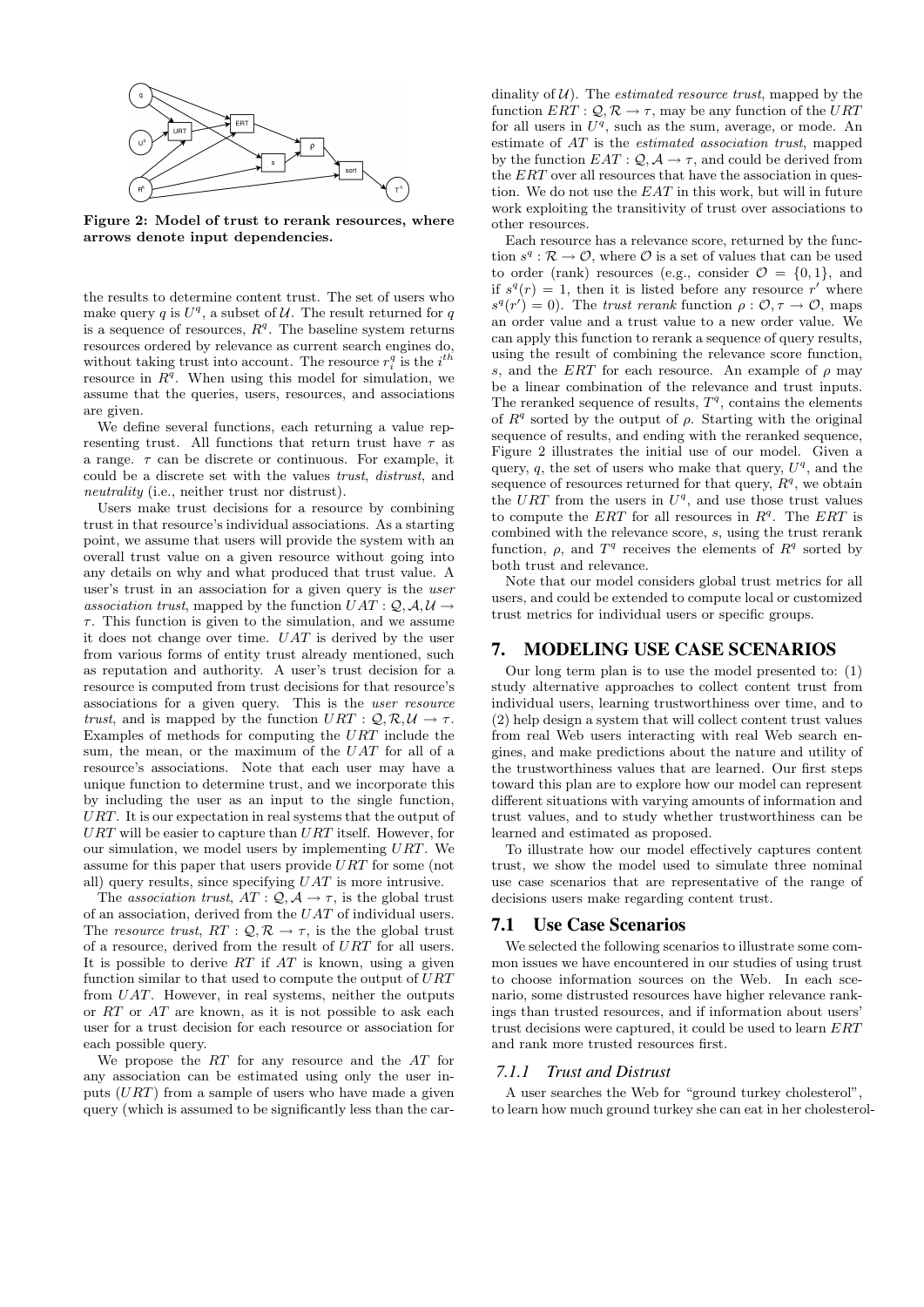

Figure 2: Model of trust to rerank resources, where arrows denote input dependencies.

the results to determine content trust. The set of users who make query q is  $U^q$ , a subset of  $\mathcal U$ . The result returned for q is a sequence of resources,  $R<sup>q</sup>$ . The baseline system returns resources ordered by relevance as current search engines do, without taking trust into account. The resource  $r_i^q$  is the  $i^{th}$ resource in  $R<sup>q</sup>$ . When using this model for simulation, we assume that the queries, users, resources, and associations are given.

We define several functions, each returning a value representing trust. All functions that return trust have  $\tau$  as a range.  $\tau$  can be discrete or continuous. For example, it could be a discrete set with the values trust, distrust, and neutrality (i.e., neither trust nor distrust).

Users make trust decisions for a resource by combining trust in that resource's individual associations. As a starting point, we assume that users will provide the system with an overall trust value on a given resource without going into any details on why and what produced that trust value. A user's trust in an association for a given query is the user association trust, mapped by the function  $\overline{UAT}$ :  $\mathcal{Q}, \mathcal{A}, \mathcal{U} \rightarrow$  $\tau$ . This function is given to the simulation, and we assume it does not change over time. UAT is derived by the user from various forms of entity trust already mentioned, such as reputation and authority. A user's trust decision for a resource is computed from trust decisions for that resource's associations for a given query. This is the user resource trust, and is mapped by the function  $URT:Q, R, U \rightarrow \tau$ . Examples of methods for computing the URT include the sum, the mean, or the maximum of the UAT for all of a resource's associations. Note that each user may have a unique function to determine trust, and we incorporate this by including the user as an input to the single function, URT. It is our expectation in real systems that the output of  $URT$  will be easier to capture than  $URT$  itself. However, for our simulation, we model users by implementing URT. We assume for this paper that users provide URT for some (not all) query results, since specifying UAT is more intrusive.

The association trust,  $AT : Q, A \rightarrow \tau$ , is the global trust of an association, derived from the  $UAT$  of individual users. The resource trust,  $RT : Q, R \rightarrow \tau$ , is the the global trust of a resource, derived from the result of URT for all users. It is possible to derive  $RT$  if  $AT$  is known, using a given function similar to that used to compute the output of URT from UAT. However, in real systems, neither the outputs or RT or AT are known, as it is not possible to ask each user for a trust decision for each resource or association for each possible query.

We propose the RT for any resource and the AT for any association can be estimated using only the user inputs  $(URT)$  from a sample of users who have made a given query (which is assumed to be significantly less than the car-

dinality of  $U$ ). The *estimated resource trust*, mapped by the function  $ERT : Q, R \rightarrow \tau$ , may be any function of the URT for all users in  $U^q$ , such as the sum, average, or mode. An estimate of AT is the estimated association trust, mapped by the function  $EAT : Q, A \rightarrow \tau$ , and could be derived from the  $ERT$  over all resources that have the association in question. We do not use the  $EAT$  in this work, but will in future work exploiting the transitivity of trust over associations to other resources.

Each resource has a relevance score, returned by the function  $s^q : \mathcal{R} \to \mathcal{O}$ , where  $\mathcal O$  is a set of values that can be used to order (rank) resources (e.g., consider  $\mathcal{O} = \{0, 1\}$ , and if  $s^q(r) = 1$ , then it is listed before any resource r' where  $s^q(r') = 0$ ). The trust rerank function  $\rho : \mathcal{O}, \tau \to \mathcal{O}$ , maps an order value and a trust value to a new order value. We can apply this function to rerank a sequence of query results, using the result of combining the relevance score function, s, and the ERT for each resource. An example of  $\rho$  may be a linear combination of the relevance and trust inputs. The reranked sequence of results,  $T<sup>q</sup>$ , contains the elements of  $R<sup>q</sup>$  sorted by the output of  $\rho$ . Starting with the original sequence of results, and ending with the reranked sequence, Figure 2 illustrates the initial use of our model. Given a query,  $q$ , the set of users who make that query,  $U<sup>q</sup>$ , and the sequence of resources returned for that query,  $R<sup>q</sup>$ , we obtain the URT from the users in  $U^q$ , and use those trust values to compute the  $ERT$  for all resources in  $R<sup>q</sup>$ . The  $ERT$  is combined with the relevance score, s, using the trust rerank function,  $\rho$ , and  $T^q$  receives the elements of  $R^q$  sorted by both trust and relevance.

Note that our model considers global trust metrics for all users, and could be extended to compute local or customized trust metrics for individual users or specific groups.

#### 7. MODELING USE CASE SCENARIOS

Our long term plan is to use the model presented to: (1) study alternative approaches to collect content trust from individual users, learning trustworthiness over time, and to (2) help design a system that will collect content trust values from real Web users interacting with real Web search engines, and make predictions about the nature and utility of the trustworthiness values that are learned. Our first steps toward this plan are to explore how our model can represent different situations with varying amounts of information and trust values, and to study whether trustworthiness can be learned and estimated as proposed.

To illustrate how our model effectively captures content trust, we show the model used to simulate three nominal use case scenarios that are representative of the range of decisions users make regarding content trust.

#### 7.1 Use Case Scenarios

We selected the following scenarios to illustrate some common issues we have encountered in our studies of using trust to choose information sources on the Web. In each scenario, some distrusted resources have higher relevance rankings than trusted resources, and if information about users' trust decisions were captured, it could be used to learn ERT and rank more trusted resources first.

#### *7.1.1 Trust and Distrust*

A user searches the Web for "ground turkey cholesterol", to learn how much ground turkey she can eat in her cholesterol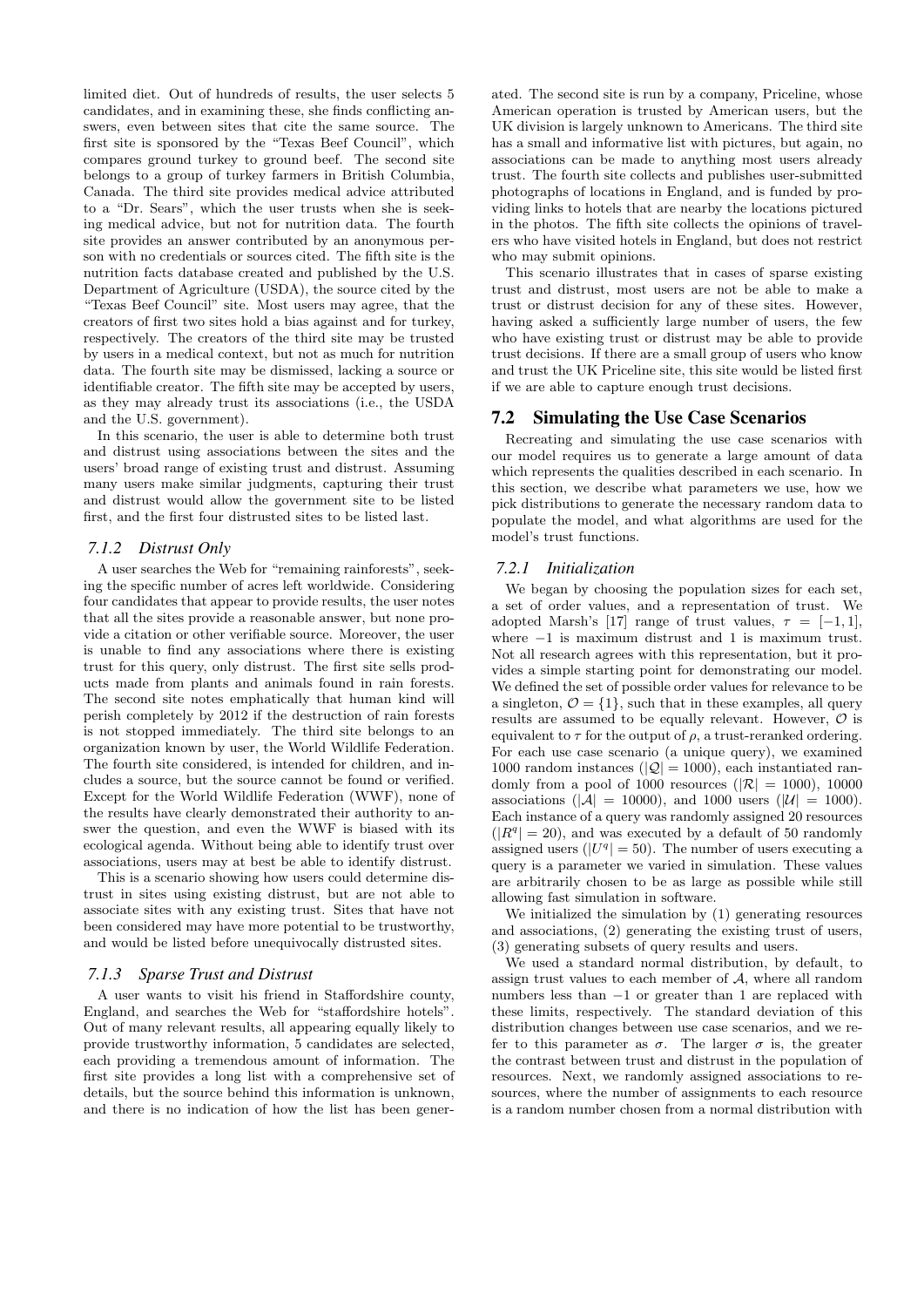limited diet. Out of hundreds of results, the user selects 5 candidates, and in examining these, she finds conflicting answers, even between sites that cite the same source. The first site is sponsored by the "Texas Beef Council", which compares ground turkey to ground beef. The second site belongs to a group of turkey farmers in British Columbia, Canada. The third site provides medical advice attributed to a "Dr. Sears", which the user trusts when she is seeking medical advice, but not for nutrition data. The fourth site provides an answer contributed by an anonymous person with no credentials or sources cited. The fifth site is the nutrition facts database created and published by the U.S. Department of Agriculture (USDA), the source cited by the "Texas Beef Council" site. Most users may agree, that the creators of first two sites hold a bias against and for turkey, respectively. The creators of the third site may be trusted by users in a medical context, but not as much for nutrition data. The fourth site may be dismissed, lacking a source or identifiable creator. The fifth site may be accepted by users, as they may already trust its associations (i.e., the USDA and the U.S. government).

In this scenario, the user is able to determine both trust and distrust using associations between the sites and the users' broad range of existing trust and distrust. Assuming many users make similar judgments, capturing their trust and distrust would allow the government site to be listed first, and the first four distrusted sites to be listed last.

#### *7.1.2 Distrust Only*

A user searches the Web for "remaining rainforests", seeking the specific number of acres left worldwide. Considering four candidates that appear to provide results, the user notes that all the sites provide a reasonable answer, but none provide a citation or other verifiable source. Moreover, the user is unable to find any associations where there is existing trust for this query, only distrust. The first site sells products made from plants and animals found in rain forests. The second site notes emphatically that human kind will perish completely by 2012 if the destruction of rain forests is not stopped immediately. The third site belongs to an organization known by user, the World Wildlife Federation. The fourth site considered, is intended for children, and includes a source, but the source cannot be found or verified. Except for the World Wildlife Federation (WWF), none of the results have clearly demonstrated their authority to answer the question, and even the WWF is biased with its ecological agenda. Without being able to identify trust over associations, users may at best be able to identify distrust.

This is a scenario showing how users could determine distrust in sites using existing distrust, but are not able to associate sites with any existing trust. Sites that have not been considered may have more potential to be trustworthy, and would be listed before unequivocally distrusted sites.

#### *7.1.3 Sparse Trust and Distrust*

A user wants to visit his friend in Staffordshire county, England, and searches the Web for "staffordshire hotels". Out of many relevant results, all appearing equally likely to provide trustworthy information, 5 candidates are selected, each providing a tremendous amount of information. The first site provides a long list with a comprehensive set of details, but the source behind this information is unknown, and there is no indication of how the list has been gener-

ated. The second site is run by a company, Priceline, whose American operation is trusted by American users, but the UK division is largely unknown to Americans. The third site has a small and informative list with pictures, but again, no associations can be made to anything most users already trust. The fourth site collects and publishes user-submitted photographs of locations in England, and is funded by providing links to hotels that are nearby the locations pictured in the photos. The fifth site collects the opinions of travelers who have visited hotels in England, but does not restrict who may submit opinions.

This scenario illustrates that in cases of sparse existing trust and distrust, most users are not be able to make a trust or distrust decision for any of these sites. However, having asked a sufficiently large number of users, the few who have existing trust or distrust may be able to provide trust decisions. If there are a small group of users who know and trust the UK Priceline site, this site would be listed first if we are able to capture enough trust decisions.

### 7.2 Simulating the Use Case Scenarios

Recreating and simulating the use case scenarios with our model requires us to generate a large amount of data which represents the qualities described in each scenario. In this section, we describe what parameters we use, how we pick distributions to generate the necessary random data to populate the model, and what algorithms are used for the model's trust functions.

#### *7.2.1 Initialization*

We began by choosing the population sizes for each set. a set of order values, and a representation of trust. We adopted Marsh's [17] range of trust values,  $\tau = [-1, 1]$ , where  $-1$  is maximum distrust and 1 is maximum trust. Not all research agrees with this representation, but it provides a simple starting point for demonstrating our model. We defined the set of possible order values for relevance to be a singleton,  $\mathcal{O} = \{1\}$ , such that in these examples, all query results are assumed to be equally relevant. However,  $\mathcal O$  is equivalent to  $\tau$  for the output of  $\rho$ , a trust-reranked ordering. For each use case scenario (a unique query), we examined 1000 random instances ( $|Q| = 1000$ ), each instantiated randomly from a pool of 1000 resources ( $|\mathcal{R}| = 1000$ ), 10000 associations ( $|A| = 10000$ ), and 1000 users ( $|U| = 1000$ ). Each instance of a query was randomly assigned 20 resources  $(|R<sup>q</sup>| = 20)$ , and was executed by a default of 50 randomly assigned users ( $|U^q| = 50$ ). The number of users executing a query is a parameter we varied in simulation. These values are arbitrarily chosen to be as large as possible while still allowing fast simulation in software.

We initialized the simulation by (1) generating resources and associations, (2) generating the existing trust of users, (3) generating subsets of query results and users.

We used a standard normal distribution, by default, to assign trust values to each member of  $A$ , where all random numbers less than −1 or greater than 1 are replaced with these limits, respectively. The standard deviation of this distribution changes between use case scenarios, and we refer to this parameter as  $\sigma$ . The larger  $\sigma$  is, the greater the contrast between trust and distrust in the population of resources. Next, we randomly assigned associations to resources, where the number of assignments to each resource is a random number chosen from a normal distribution with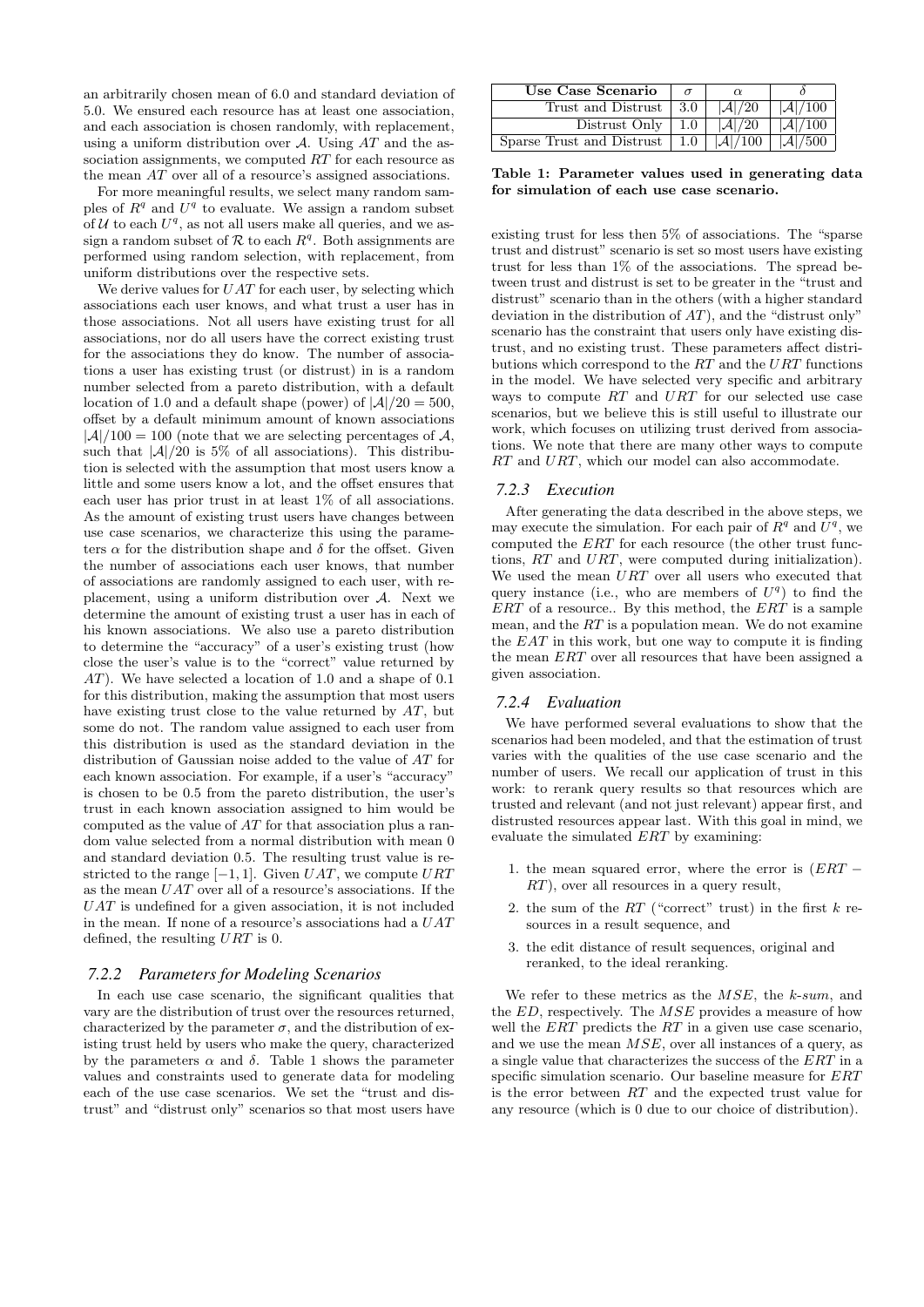an arbitrarily chosen mean of 6.0 and standard deviation of 5.0. We ensured each resource has at least one association, and each association is chosen randomly, with replacement, using a uniform distribution over  $A$ . Using  $AT$  and the association assignments, we computed RT for each resource as the mean AT over all of a resource's assigned associations.

For more meaningful results, we select many random samples of  $R<sup>q</sup>$  and  $U<sup>q</sup>$  to evaluate. We assign a random subset of  $U$  to each  $U^q$ , as not all users make all queries, and we assign a random subset of  $R$  to each  $R<sup>q</sup>$ . Both assignments are performed using random selection, with replacement, from uniform distributions over the respective sets.

We derive values for  $UAT$  for each user, by selecting which associations each user knows, and what trust a user has in those associations. Not all users have existing trust for all associations, nor do all users have the correct existing trust for the associations they do know. The number of associations a user has existing trust (or distrust) in is a random number selected from a pareto distribution, with a default location of 1.0 and a default shape (power) of  $|A|/20 = 500$ , offset by a default minimum amount of known associations  $|\mathcal{A}|/100 = 100$  (note that we are selecting percentages of A, such that  $|A|/20$  is 5% of all associations). This distribution is selected with the assumption that most users know a little and some users know a lot, and the offset ensures that each user has prior trust in at least 1% of all associations. As the amount of existing trust users have changes between use case scenarios, we characterize this using the parameters  $\alpha$  for the distribution shape and  $\delta$  for the offset. Given the number of associations each user knows, that number of associations are randomly assigned to each user, with replacement, using a uniform distribution over A. Next we determine the amount of existing trust a user has in each of his known associations. We also use a pareto distribution to determine the "accuracy" of a user's existing trust (how close the user's value is to the "correct" value returned by AT). We have selected a location of 1.0 and a shape of 0.1 for this distribution, making the assumption that most users have existing trust close to the value returned by AT, but some do not. The random value assigned to each user from this distribution is used as the standard deviation in the distribution of Gaussian noise added to the value of AT for each known association. For example, if a user's "accuracy" is chosen to be 0.5 from the pareto distribution, the user's trust in each known association assigned to him would be computed as the value of AT for that association plus a random value selected from a normal distribution with mean 0 and standard deviation 0.5. The resulting trust value is restricted to the range  $[-1, 1]$ . Given  $UAT$ , we compute  $URT$ as the mean UAT over all of a resource's associations. If the  $UAT$  is undefined for a given association, it is not included in the mean. If none of a resource's associations had a UAT defined, the resulting  $URT$  is 0.

#### *7.2.2 Parameters for Modeling Scenarios*

In each use case scenario, the significant qualities that vary are the distribution of trust over the resources returned, characterized by the parameter  $\sigma$ , and the distribution of existing trust held by users who make the query, characterized by the parameters  $\alpha$  and  $\delta$ . Table 1 shows the parameter values and constraints used to generate data for modeling each of the use case scenarios. We set the "trust and distrust" and "distrust only" scenarios so that most users have

| Use Case Scenario         | $\sigma$ |                     |                     |
|---------------------------|----------|---------------------|---------------------|
| Trust and Distrust        | 3.0      | $ \mathcal{A} /20$  | $ \mathcal{A} /100$ |
| Distrust Only             | 1.0      | $ \mathcal{A} /20$  | $ \mathcal{A} /100$ |
| Sparse Trust and Distrust | 1.0      | $ \mathcal{A} /100$ | $ \mathcal{A} /500$ |

Table 1: Parameter values used in generating data for simulation of each use case scenario.

existing trust for less then 5% of associations. The "sparse trust and distrust" scenario is set so most users have existing trust for less than 1% of the associations. The spread between trust and distrust is set to be greater in the "trust and distrust" scenario than in the others (with a higher standard deviation in the distribution of AT), and the "distrust only" scenario has the constraint that users only have existing distrust, and no existing trust. These parameters affect distributions which correspond to the  $RT$  and the  $URT$  functions in the model. We have selected very specific and arbitrary ways to compute RT and URT for our selected use case scenarios, but we believe this is still useful to illustrate our work, which focuses on utilizing trust derived from associations. We note that there are many other ways to compute RT and URT, which our model can also accommodate.

#### *7.2.3 Execution*

After generating the data described in the above steps, we may execute the simulation. For each pair of  $R^q$  and  $U^q$ , we computed the ERT for each resource (the other trust functions, RT and URT, were computed during initialization). We used the mean URT over all users who executed that query instance (i.e., who are members of  $U<sup>q</sup>$ ) to find the  $ERT$  of a resource.. By this method, the  $ERT$  is a sample mean, and the  $RT$  is a population mean. We do not examine the EAT in this work, but one way to compute it is finding the mean ERT over all resources that have been assigned a given association.

#### *7.2.4 Evaluation*

We have performed several evaluations to show that the scenarios had been modeled, and that the estimation of trust varies with the qualities of the use case scenario and the number of users. We recall our application of trust in this work: to rerank query results so that resources which are trusted and relevant (and not just relevant) appear first, and distrusted resources appear last. With this goal in mind, we evaluate the simulated ERT by examining:

- 1. the mean squared error, where the error is (ERT − RT), over all resources in a query result,
- 2. the sum of the  $RT$  ("correct" trust) in the first  $k$  resources in a result sequence, and
- 3. the edit distance of result sequences, original and reranked, to the ideal reranking.

We refer to these metrics as the  $MSE$ , the k-sum, and the ED, respectively. The MSE provides a measure of how well the *ERT* predicts the *RT* in a given use case scenario, and we use the mean MSE, over all instances of a query, as a single value that characterizes the success of the ERT in a specific simulation scenario. Our baseline measure for ERT is the error between RT and the expected trust value for any resource (which is 0 due to our choice of distribution).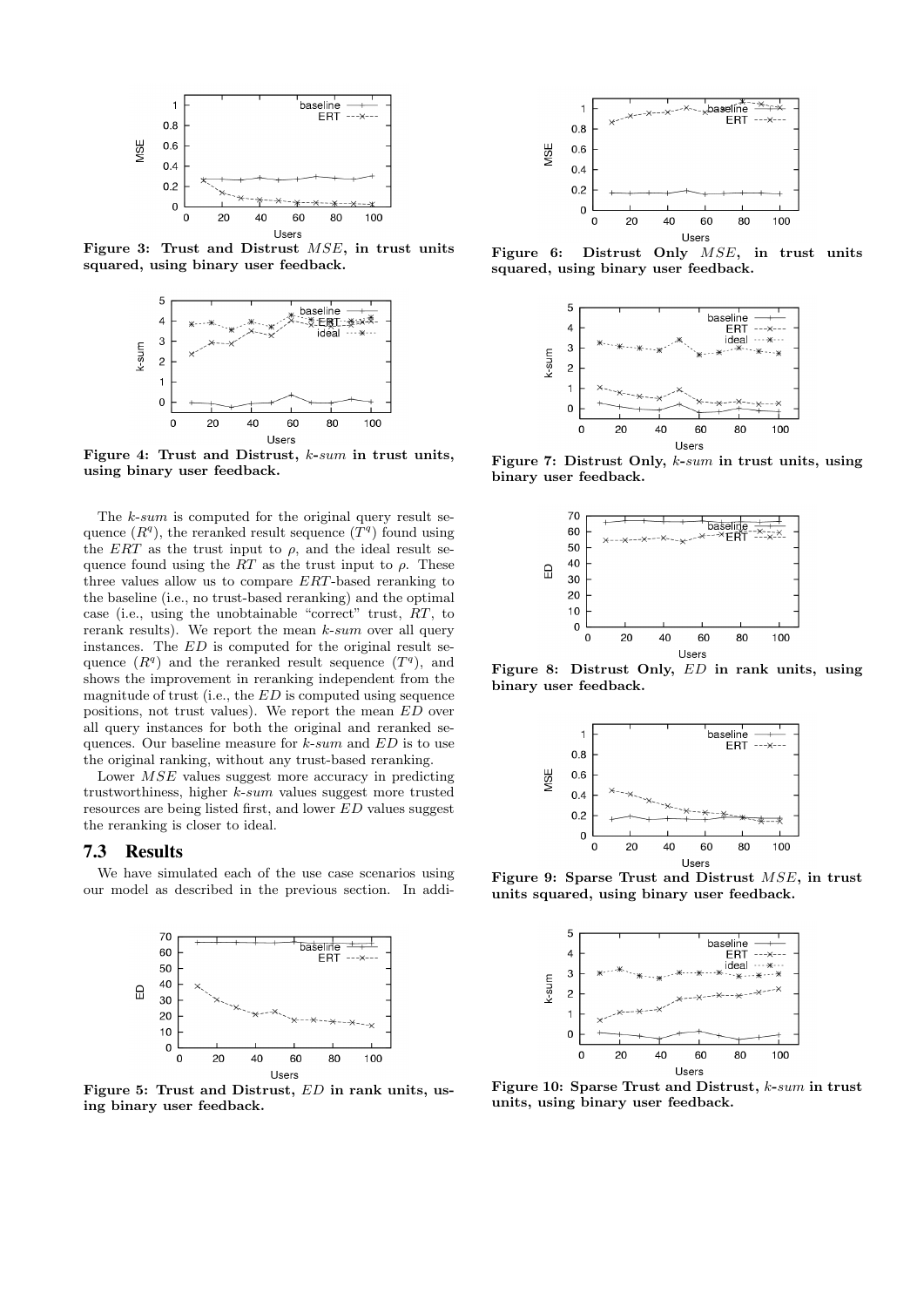

Figure 3: Trust and Distrust MSE, in trust units squared, using binary user feedback.



Figure 4: Trust and Distrust, k-sum in trust units, using binary user feedback.

The k-sum is computed for the original query result sequence  $(R^q)$ , the reranked result sequence  $(T^q)$  found using the ERT as the trust input to  $\rho$ , and the ideal result sequence found using the  $RT$  as the trust input to  $\rho$ . These three values allow us to compare ERT-based reranking to the baseline (i.e., no trust-based reranking) and the optimal case (i.e., using the unobtainable "correct" trust, RT, to rerank results). We report the mean  $k\text{-}sum$  over all query instances. The ED is computed for the original result sequence  $(R^q)$  and the reranked result sequence  $(T^q)$ , and shows the improvement in reranking independent from the magnitude of trust (i.e., the ED is computed using sequence positions, not trust values). We report the mean ED over all query instances for both the original and reranked sequences. Our baseline measure for  $k\text{-}sum$  and  $ED$  is to use the original ranking, without any trust-based reranking.

Lower MSE values suggest more accuracy in predicting trustworthiness, higher k-sum values suggest more trusted resources are being listed first, and lower ED values suggest the reranking is closer to ideal.

#### 7.3 Results

We have simulated each of the use case scenarios using our model as described in the previous section. In addi-



Figure 5: Trust and Distrust, ED in rank units, using binary user feedback.



Figure 6: Distrust Only MSE, in trust units squared, using binary user feedback.



Figure 7: Distrust Only, k-sum in trust units, using binary user feedback.



Figure 8: Distrust Only, ED in rank units, using binary user feedback.



Figure 9: Sparse Trust and Distrust MSE, in trust units squared, using binary user feedback.



Figure 10: Sparse Trust and Distrust, k-sum in trust units, using binary user feedback.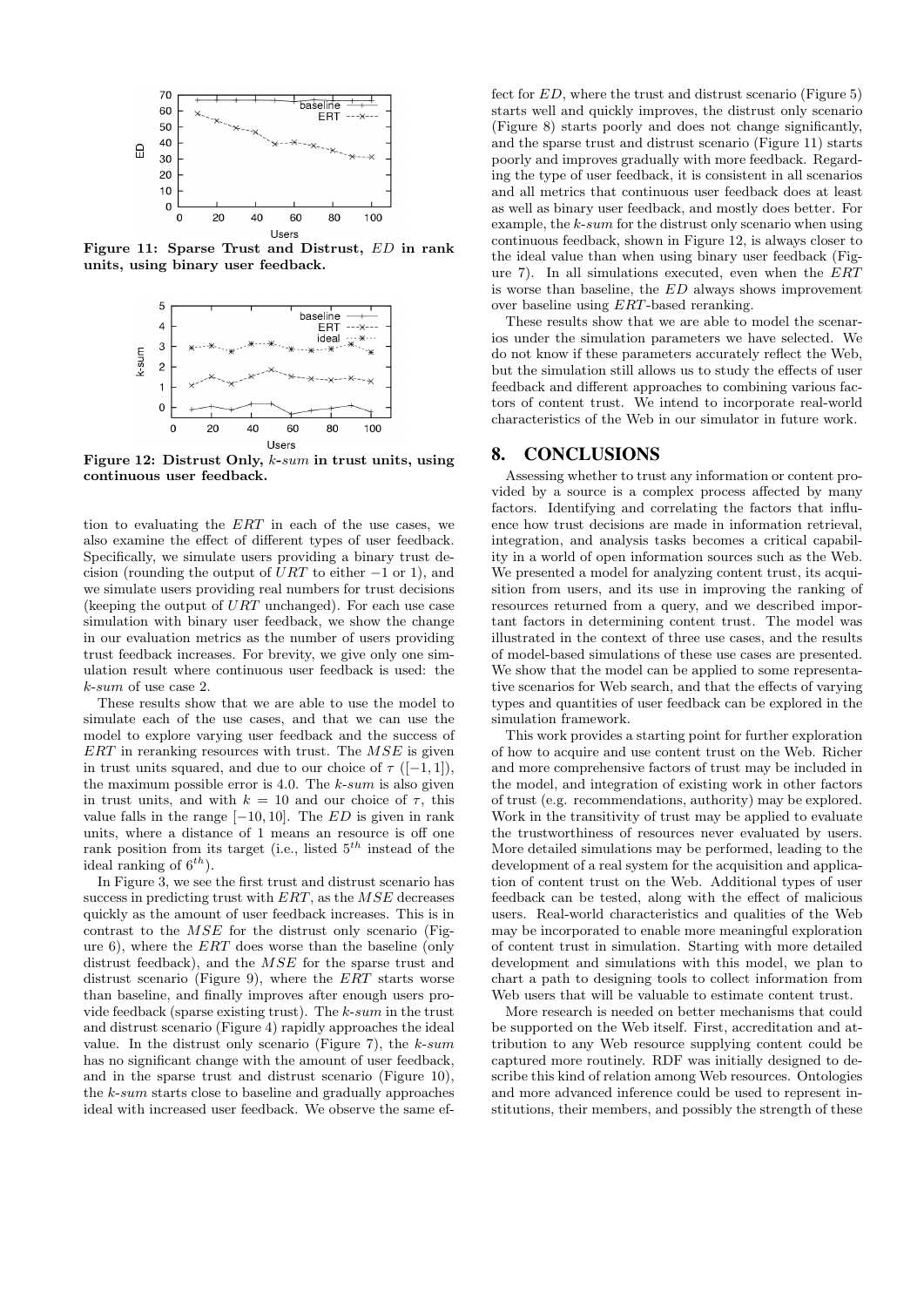

Figure 11: Sparse Trust and Distrust, ED in rank units, using binary user feedback.



Figure 12: Distrust Only, k-sum in trust units, using continuous user feedback.

tion to evaluating the ERT in each of the use cases, we also examine the effect of different types of user feedback. Specifically, we simulate users providing a binary trust decision (rounding the output of  $URT$  to either  $-1$  or 1), and we simulate users providing real numbers for trust decisions (keeping the output of  $URT$  unchanged). For each use case simulation with binary user feedback, we show the change in our evaluation metrics as the number of users providing trust feedback increases. For brevity, we give only one simulation result where continuous user feedback is used: the k-sum of use case 2.

These results show that we are able to use the model to simulate each of the use cases, and that we can use the model to explore varying user feedback and the success of  $ERT$  in reranking resources with trust. The  $MSE$  is given in trust units squared, and due to our choice of  $\tau$  ([−1, 1]), the maximum possible error is 4.0. The  $k\text{-}sum$  is also given in trust units, and with  $k = 10$  and our choice of  $\tau$ , this value falls in the range  $[-10, 10]$ . The ED is given in rank units, where a distance of 1 means an resource is off one rank position from its target (i.e., listed  $5^{th}$  instead of the ideal ranking of  $6^{th}$ ).

In Figure 3, we see the first trust and distrust scenario has success in predicting trust with  $ERT$ , as the  $MSE$  decreases quickly as the amount of user feedback increases. This is in contrast to the MSE for the distrust only scenario (Figure 6), where the ERT does worse than the baseline (only distrust feedback), and the MSE for the sparse trust and distrust scenario (Figure 9), where the *ERT* starts worse than baseline, and finally improves after enough users provide feedback (sparse existing trust). The  $k\text{-}sum$  in the trust and distrust scenario (Figure 4) rapidly approaches the ideal value. In the distrust only scenario (Figure 7), the  $k$ -sum has no significant change with the amount of user feedback, and in the sparse trust and distrust scenario (Figure 10), the k-sum starts close to baseline and gradually approaches ideal with increased user feedback. We observe the same ef-

fect for ED, where the trust and distrust scenario (Figure 5) starts well and quickly improves, the distrust only scenario (Figure 8) starts poorly and does not change significantly, and the sparse trust and distrust scenario (Figure 11) starts poorly and improves gradually with more feedback. Regarding the type of user feedback, it is consistent in all scenarios and all metrics that continuous user feedback does at least as well as binary user feedback, and mostly does better. For example, the k-sum for the distrust only scenario when using continuous feedback, shown in Figure 12, is always closer to the ideal value than when using binary user feedback (Figure 7). In all simulations executed, even when the ERT is worse than baseline, the ED always shows improvement over baseline using ERT-based reranking.

These results show that we are able to model the scenarios under the simulation parameters we have selected. We do not know if these parameters accurately reflect the Web, but the simulation still allows us to study the effects of user feedback and different approaches to combining various factors of content trust. We intend to incorporate real-world characteristics of the Web in our simulator in future work.

#### 8. CONCLUSIONS

Assessing whether to trust any information or content provided by a source is a complex process affected by many factors. Identifying and correlating the factors that influence how trust decisions are made in information retrieval, integration, and analysis tasks becomes a critical capability in a world of open information sources such as the Web. We presented a model for analyzing content trust, its acquisition from users, and its use in improving the ranking of resources returned from a query, and we described important factors in determining content trust. The model was illustrated in the context of three use cases, and the results of model-based simulations of these use cases are presented. We show that the model can be applied to some representative scenarios for Web search, and that the effects of varying types and quantities of user feedback can be explored in the simulation framework.

This work provides a starting point for further exploration of how to acquire and use content trust on the Web. Richer and more comprehensive factors of trust may be included in the model, and integration of existing work in other factors of trust (e.g. recommendations, authority) may be explored. Work in the transitivity of trust may be applied to evaluate the trustworthiness of resources never evaluated by users. More detailed simulations may be performed, leading to the development of a real system for the acquisition and application of content trust on the Web. Additional types of user feedback can be tested, along with the effect of malicious users. Real-world characteristics and qualities of the Web may be incorporated to enable more meaningful exploration of content trust in simulation. Starting with more detailed development and simulations with this model, we plan to chart a path to designing tools to collect information from Web users that will be valuable to estimate content trust.

More research is needed on better mechanisms that could be supported on the Web itself. First, accreditation and attribution to any Web resource supplying content could be captured more routinely. RDF was initially designed to describe this kind of relation among Web resources. Ontologies and more advanced inference could be used to represent institutions, their members, and possibly the strength of these